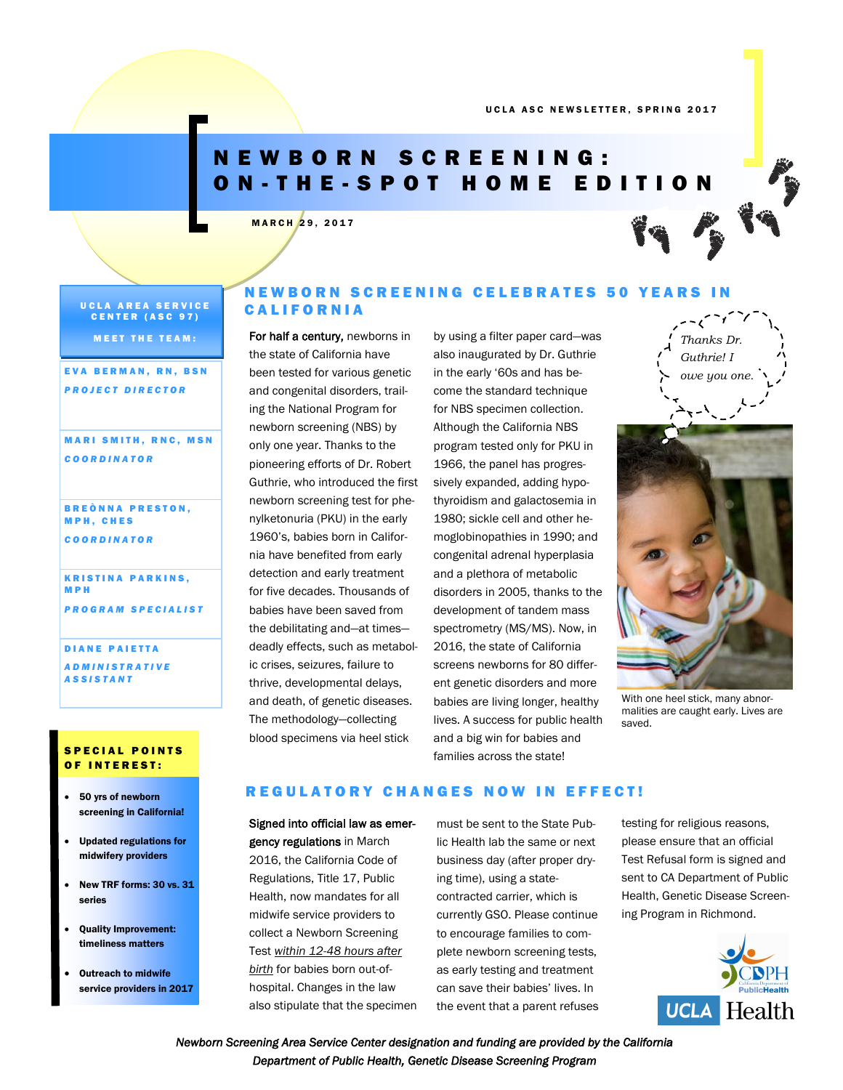# N E W B O R N S C R E E N I N G : O N - T H E - S P O T H O M E E D I T I O N

# MARCH 29, 2017

UCLA AREA SERVICE CENTER (ASC 97)

**MEET THE TEAM:** 

EVA BERMAN, RN, BSN *P R O J E C T D I R E C T O R*

## **MARI SMITH, RNC, MSN** *C O O R D I N A T O R*

**BREÒNNA PRESTON,** M P H , C H E S *C O O R D I N A T O R*

**KRISTINA PARKINS,** M P H *P R O G R A M S P E C I A L I S T*

DIANE PAIETTA *A D M I N I S T R A T I V E* 

*A S S I S T A N T* 

## S P E C I A L POINTS OF INTEREST:

- 50 yrs of newborn screening in California!
- Updated regulations for midwifery providers
- New TRF forms: 30 vs. 31 series
- Quality Improvement: timeliness matters
- Outreach to midwife service providers in 2017

# N E W B O R N S C R E E N I N G C E L E B R A T E S 50 Y E A R S I N **CALIFORNIA**

For half a century, newborns in the state of California have been tested for various genetic and congenital disorders, trailing the National Program for newborn screening (NBS) by only one year. Thanks to the pioneering efforts of Dr. Robert Guthrie, who introduced the first newborn screening test for phenylketonuria (PKU) in the early 1960's, babies born in California have benefited from early detection and early treatment for five decades. Thousands of babies have been saved from the debilitating and—at times deadly effects, such as metabolic crises, seizures, failure to thrive, developmental delays, and death, of genetic diseases. The methodology—collecting blood specimens via heel stick

by using a filter paper card—was also inaugurated by Dr. Guthrie in the early '60s and has become the standard technique for NBS specimen collection. Although the California NBS program tested only for PKU in 1966, the panel has progressively expanded, adding hypothyroidism and galactosemia in 1980; sickle cell and other hemoglobinopathies in 1990; and congenital adrenal hyperplasia and a plethora of metabolic disorders in 2005, thanks to the development of tandem mass spectrometry (MS/MS). Now, in 2016, the state of California screens newborns for 80 different genetic disorders and more babies are living longer, healthy lives. A success for public health and a big win for babies and families across the state!



With one heel stick, many abnormalities are caught early. Lives are saved.

# REGULATORY CHANGES NOW IN EFFECT!

Signed into official law as emergency regulations in March 2016, the California Code of Regulations, Title 17, Public Health, now mandates for all midwife service providers to collect a Newborn Screening Test *within 12-48 hours after birth* for babies born out-ofhospital. Changes in the law also stipulate that the specimen must be sent to the State Public Health lab the same or next business day (after proper drying time), using a statecontracted carrier, which is currently GSO. Please continue to encourage families to complete newborn screening tests, as early testing and treatment can save their babies' lives. In the event that a parent refuses testing for religious reasons, please ensure that an official Test Refusal form is signed and sent to CA Department of Public Health, Genetic Disease Screening Program in Richmond.



*Newborn Screening Area Service Center designation and funding are provided by the California Department of Public Health, Genetic Disease Screening Program*